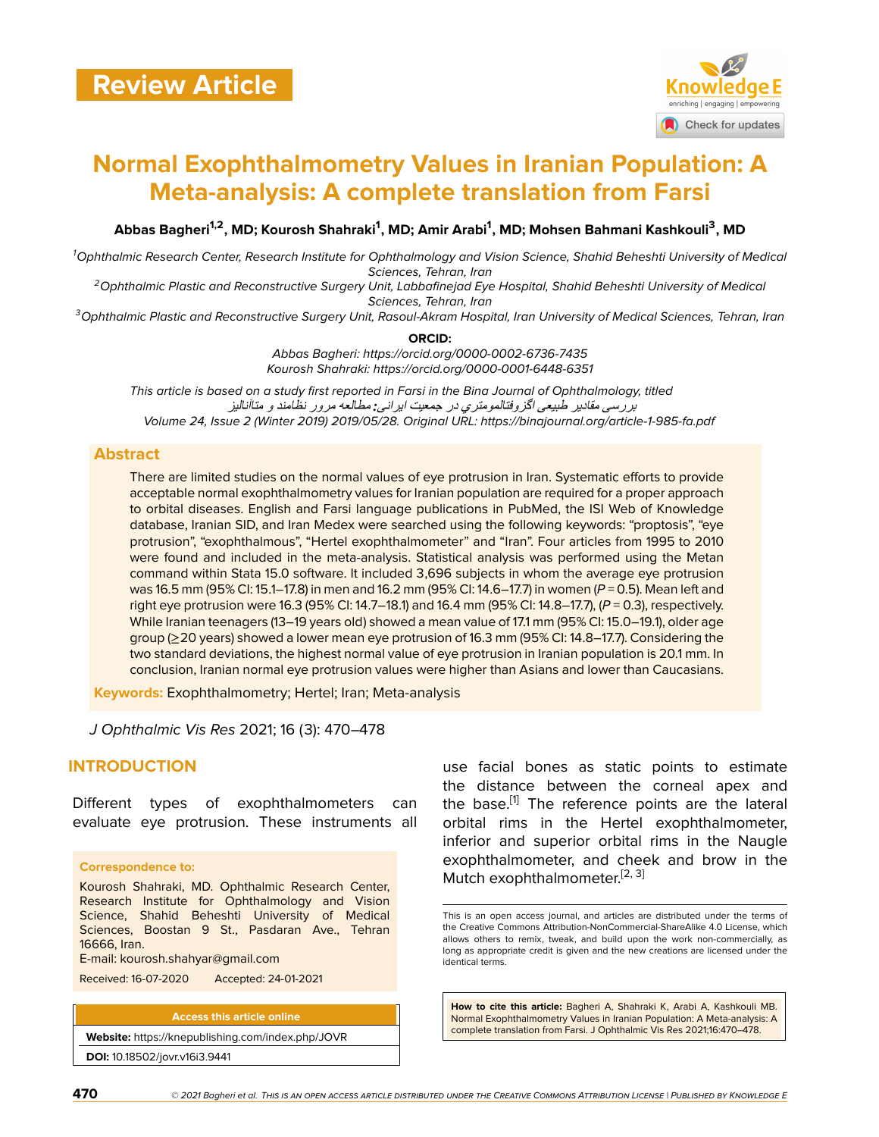

# **Normal Exophthalmometry Values in Iranian Population: A Meta-analysis: A complete translation from Farsi**

**Abbas Bagheri1,2, MD; Kourosh Shahraki<sup>1</sup> , MD; Amir Arabi<sup>1</sup> , MD; Mohsen Bahmani Kashkouli<sup>3</sup> , MD**

*<sup>1</sup>Ophthalmic Research Center, Research Institute for Ophthalmology and Vision Science, Shahid Beheshti University of Medical Sciences, Tehran, Iran*

*<sup>2</sup>Ophthalmic Plastic and Reconstructive Surgery Unit, Labbafinejad Eye Hospital, Shahid Beheshti University of Medical Sciences, Tehran, Iran*

*<sup>3</sup>Ophthalmic Plastic and Reconstructive Surgery Unit, Rasoul-Akram Hospital, Iran University of Medical Sciences, Tehran, Iran*

**ORCID:**

*Abbas Bagheri: https://orcid.org/0000-0002-6736-7435 Kourosh Shahraki: https://orcid.org/0000-0001-6448-6351*

*This article is based on a study first reported in Farsi in the Bina Journal of Ophthalmology, titled Volume 24, Issue 2 (Winter 2019) 2019/05/28. Original URL: https://binajournal.org/article-1-985-fa.pdf* بررسی مقادیر طبیعی اگزوفتالمومتري در جمعیت ایرانی*:* مطالعھ مرور نظامند <sup>و</sup> متاآنالیز

## **Abstract**

There are limited studies on the normal values of eye protrusion in Iran. Systematic efforts to provide acceptable normal exophthalmometry values for Iranian population are required for a proper approach to orbital diseases. English and Farsi language publications in PubMed, the ISI Web of Knowledge database, Iranian SID, and Iran Medex were searched using the following keywords: "proptosis", "eye protrusion", "exophthalmous", "Hertel exophthalmometer" and "Iran". Four articles from 1995 to 2010 were found and included in the meta-analysis. Statistical analysis was performed using the Metan command within Stata 15.0 software. It included 3,696 subjects in whom the average eye protrusion was 16.5 mm (95% CI: 15.1–17.8) in men and 16.2 mm (95% CI: 14.6–17.7) in women (*P* = 0.5). Mean left and right eye protrusion were 16.3 (95% CI: 14.7–18.1) and 16.4 mm (95% CI: 14.8–17.7), (*P* = 0.3), respectively. While Iranian teenagers (13–19 years old) showed a mean value of 17.1 mm (95% CI: 15.0–19.1), older age group (≥20 years) showed a lower mean eye protrusion of 16.3 mm (95% CI: 14.8–17.7). Considering the two standard deviations, the highest normal value of eye protrusion in Iranian population is 20.1 mm. In conclusion, Iranian normal eye protrusion values were higher than Asians and lower than Caucasians.

**Keywords:** Exophthalmometry; Hertel; Iran; Meta-analysis

*J Ophthalmic Vis Res* 2021; 16 (3): 470–478

# **INTRODUCTION**

Different types of exophthalmometers can evaluate eye protrusion. These instruments all

#### **Correspondence to:**

Kourosh Shahraki, MD. Ophthalmic Research Center, Research Institute for Ophthalmology and Vision Science, Shahid Beheshti University of Medical Sciences, Boostan 9 St., Pasdaran Ave., Tehran 16666, Iran.

E-mail: kourosh.shahyar@gmail.com

Received: 16-07-2020 Accepted: 24-01-2021

**Access this article online**

**Website:** <https://knepublishing.com/index.php/JOVR> **DOI:** 10.18502/jovr.v16i3.9441

use facial bones as static points to estimate the distance between the corneal apex and the base.<sup>[\[1\]](#page-6-0)</sup> The reference points are the lateral orbital rims in the Hertel exophthalmometer, inferior and superior orbital rims in the Naugle exophthalmometer, and cheek and brow in the Mutch exophthalmometer.<sup>[[2](#page-6-1), [3](#page-6-2)]</sup>

This is an open access journal, and articles are distributed under the terms of the Creative Commons Attribution-NonCommercial-ShareAlike 4.0 License, which allows others to remix, tweak, and build upon the work non-commercially, as long as appropriate credit is given and the new creations are licensed under the identical terms.

**How to cite this article:** Bagheri A, Shahraki K, Arabi A, Kashkouli MB. Normal Exophthalmometry Values in Iranian Population: A Meta-analysis: A complete translation from Farsi. J Ophthalmic Vis Res 2021;16:470–478.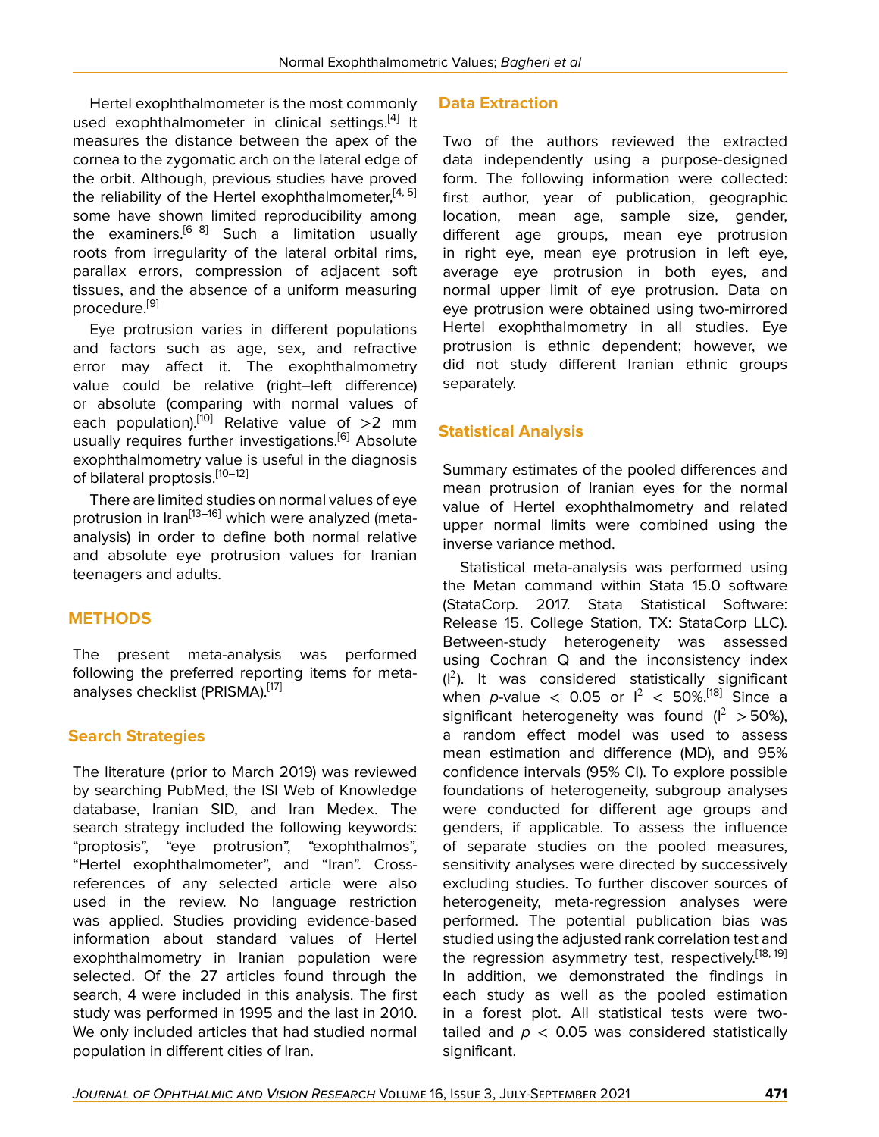Hertel exophthalmometer is the most commonly used exophthalmometer in clinical settings.<sup>[\[4](#page-6-3)]</sup> It measures the distance between the apex of the cornea to the zygomatic arch on the lateral edge of the orbit. Although, previous studies have proved the reliability of the Hertel exophthalmometer,<sup>[[4](#page-6-3), [5](#page-6-4)]</sup> some have shown limited reproducibility among the examiners.<sup>[[6](#page-6-5)–[8](#page-6-6)]</sup> Such a limitation usually roots from irregularity of the lateral orbital rims, parallax errors, compression of adjacent soft tissues, and the absence of a uniform measuring procedure.[\[9\]](#page-6-7)

Eye protrusion varies in different populations and factors such as age, sex, and refractive error may affect it. The exophthalmometry value could be relative (right–left difference) or absolute (comparing with normal values of each population).<sup>[\[10](#page-6-8)]</sup> Relative value of  $>2$  mm usually requires further investigations.<sup>[\[6\]](#page-6-5)</sup> Absolute exophthalmometry value is useful in the diagnosis of bilateral proptosis.[\[10](#page-6-8)–[12](#page-7-0)]

There are limited studies on normal values of eye protrusion in Iran<sup>[\[13](#page-7-1)–[16](#page-7-2)]</sup> which were analyzed (metaanalysis) in order to define both normal relative and absolute eye protrusion values for Iranian teenagers and adults.

# **METHODS**

The present meta-analysis was performed following the preferred reporting items for meta-analyses checklist (PRISMA).<sup>[\[17\]](#page-7-3)</sup>

# **Search Strategies**

The literature (prior to March 2019) was reviewed by searching PubMed, the ISI Web of Knowledge database, Iranian SID, and Iran Medex. The search strategy included the following keywords: "proptosis", "eye protrusion", "exophthalmos", "Hertel exophthalmometer", and "Iran". Crossreferences of any selected article were also used in the review. No language restriction was applied. Studies providing evidence-based information about standard values of Hertel exophthalmometry in Iranian population were selected. Of the 27 articles found through the search, 4 were included in this analysis. The first study was performed in 1995 and the last in 2010. We only included articles that had studied normal population in different cities of Iran.

## **Data Extraction**

Two of the authors reviewed the extracted data independently using a purpose-designed form. The following information were collected: first author, year of publication, geographic location, mean age, sample size, gender, different age groups, mean eye protrusion in right eye, mean eye protrusion in left eye, average eye protrusion in both eyes, and normal upper limit of eye protrusion. Data on eye protrusion were obtained using two-mirrored Hertel exophthalmometry in all studies. Eye protrusion is ethnic dependent; however, we did not study different Iranian ethnic groups separately.

# **Statistical Analysis**

Summary estimates of the pooled differences and mean protrusion of Iranian eyes for the normal value of Hertel exophthalmometry and related upper normal limits were combined using the inverse variance method.

Statistical meta-analysis was performed using the Metan command within Stata 15.0 software (StataCorp. 2017. Stata Statistical Software: Release 15. College Station, TX: StataCorp LLC). Between-study heterogeneity was assessed using Cochran Q and the inconsistency index  $(l^2)$ . It was considered statistically significant when *p*-value < 0.05 or  $I^2$  < 50%.<sup>[\[18](#page-7-4)]</sup> Since a significant heterogeneity was found  $(I^2 > 50\%)$ . a random effect model was used to assess mean estimation and difference (MD), and 95% confidence intervals (95% CI). To explore possible foundations of heterogeneity, subgroup analyses were conducted for different age groups and genders, if applicable. To assess the influence of separate studies on the pooled measures, sensitivity analyses were directed by successively excluding studies. To further discover sources of heterogeneity, meta-regression analyses were performed. The potential publication bias was studied using the adjusted rank correlation test and the regression asymmetry test, respectively.<sup>[\[18](#page-7-4), [19](#page-7-5)]</sup> In addition, we demonstrated the findings in each study as well as the pooled estimation in a forest plot. All statistical tests were twotailed and  $p < 0.05$  was considered statistically significant.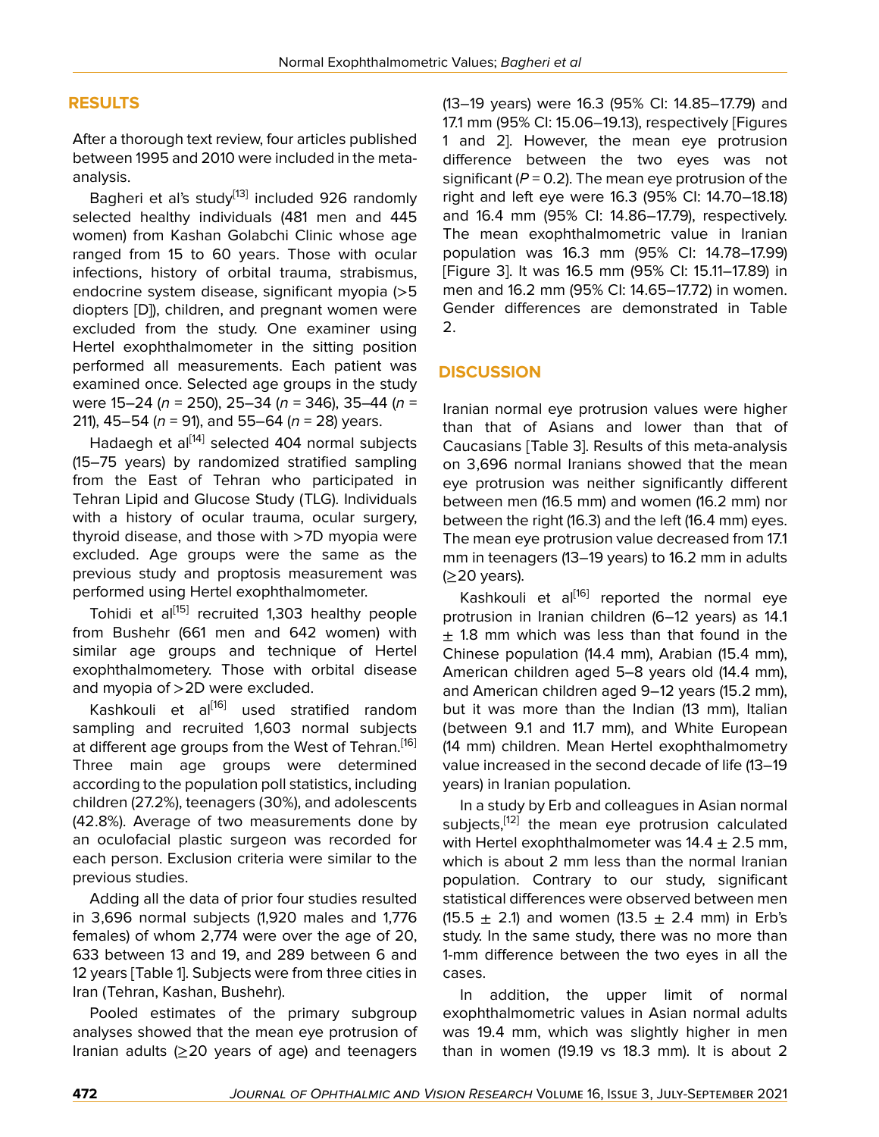# **RESULTS**

After a thorough text review, four articles published between 1995 and 2010 were included in the metaanalysis.

Bagheri et al's study<sup>[\[13\]](#page-7-1)</sup> included 926 randomly selected healthy individuals (481 men and 445 women) from Kashan Golabchi Clinic whose age ranged from 15 to 60 years. Those with ocular infections, history of orbital trauma, strabismus, endocrine system disease, significant myopia (>5 diopters [D]), children, and pregnant women were excluded from the study. One examiner using Hertel exophthalmometer in the sitting position performed all measurements. Each patient was examined once. Selected age groups in the study were 15–24 (*n* = 250), 25–34 (*n* = 346), 35–44 (*n* = 211), 45–54 (*n* = 91), and 55–64 (*n* = 28) years.

Hadaegh et al<sup>[[14\]](#page-7-6)</sup> selected 404 normal subjects (15–75 years) by randomized stratified sampling from the East of Tehran who participated in Tehran Lipid and Glucose Study (TLG). Individuals with a history of ocular trauma, ocular surgery, thyroid disease, and those with >7D myopia were excluded. Age groups were the same as the previous study and proptosis measurement was performed using Hertel exophthalmometer.

Tohidi et al<sup>[\[15\]](#page-7-7)</sup> recruited 1,303 healthy people from Bushehr (661 men and 642 women) with similar age groups and technique of Hertel exophthalmometery. Those with orbital disease and myopia of >2D were excluded.

Kashkouli et al<sup>[[16\]](#page-7-2)</sup> used stratified random sampling and recruited 1,603 normal subjects at different age groups from the West of Tehran.<sup>[\[16](#page-7-2)]</sup> Three main age groups were determined according to the population poll statistics, including children (27.2%), teenagers (30%), and adolescents (42.8%). Average of two measurements done by an oculofacial plastic surgeon was recorded for each person. Exclusion criteria were similar to the previous studies.

Adding all the data of prior four studies resulted in 3,696 normal subjects (1,920 males and 1,776 females) of whom 2,774 were over the age of 20, 633 between 13 and 19, and 289 between 6 and 12 years [Table 1]. Subjects were from three cities in Iran (Tehran, Kashan, Bushehr).

Pooled estimates of the primary subgroup analyses showed that the mean eye protrusion of Iranian adults (≥20 years of age) and teenagers

(13–19 years) were 16.3 (95% CI: 14.85–17.79) and 17.1 mm (95% CI: 15.06–19.13), respectively [Figures 1 and 2]. However, the mean eye protrusion difference between the two eyes was not significant  $(P = 0.2)$ . The mean eye protrusion of the right and left eye were 16.3 (95% CI: 14.70–18.18) and 16.4 mm (95% CI: 14.86–17.79), respectively. The mean exophthalmometric value in Iranian population was 16.3 mm (95% CI: 14.78–17.99) [Figure 3]. It was 16.5 mm (95% CI: 15.11–17.89) in men and 16.2 mm (95% CI: 14.65–17.72) in women. Gender differences are demonstrated in Table 2.

# **DISCUSSION**

Iranian normal eye protrusion values were higher than that of Asians and lower than that of Caucasians [Table 3]. Results of this meta-analysis on 3,696 normal Iranians showed that the mean eye protrusion was neither significantly different between men (16.5 mm) and women (16.2 mm) nor between the right (16.3) and the left (16.4 mm) eyes. The mean eye protrusion value decreased from 17.1 mm in teenagers (13–19 years) to 16.2 mm in adults (≥20 years).

Kashkouli et al<sup>[\[16\]](#page-7-2)</sup> reported the normal eye protrusion in Iranian children (6–12 years) as 14.1  $±$  1.8 mm which was less than that found in the Chinese population (14.4 mm), Arabian (15.4 mm), American children aged 5–8 years old (14.4 mm), and American children aged 9–12 years (15.2 mm), but it was more than the Indian (13 mm), Italian (between 9.1 and 11.7 mm), and White European (14 mm) children. Mean Hertel exophthalmometry value increased in the second decade of life (13–19 years) in Iranian population.

In a study by Erb and colleagues in Asian normal subjects,<sup>[[12\]](#page-7-0)</sup> the mean eye protrusion calculated with Hertel exophthalmometer was  $14.4 \pm 2.5$  mm, which is about 2 mm less than the normal Iranian population. Contrary to our study, significant statistical differences were observed between men (15.5  $\pm$  2.1) and women (13.5  $\pm$  2.4 mm) in Erb's study. In the same study, there was no more than 1-mm difference between the two eyes in all the cases.

In addition, the upper limit of normal exophthalmometric values in Asian normal adults was 19.4 mm, which was slightly higher in men than in women (19.19 vs 18.3 mm). It is about 2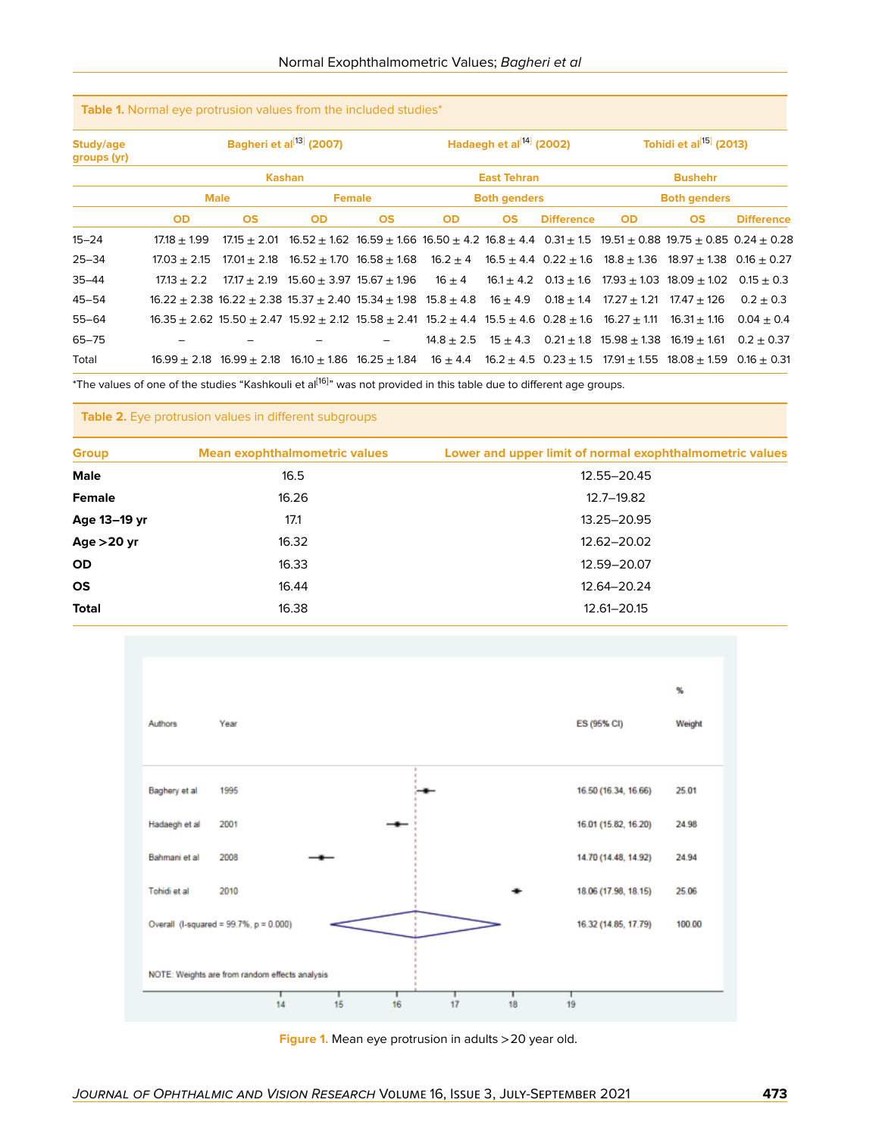| Study/age<br>groups (yr) | Bagheri et al <sup>[13]</sup> (2007)<br><b>Kashan</b> |                                                                                                                                                                  |           |           | Hadaegh et al $^{[14]}$ (2002)<br><b>East Tehran</b> |           |                   | Tohidi et al <sup>[15]</sup> (2013)<br><b>Bushehr</b> |                                                                                                                                                |                                                                                                                                                    |
|--------------------------|-------------------------------------------------------|------------------------------------------------------------------------------------------------------------------------------------------------------------------|-----------|-----------|------------------------------------------------------|-----------|-------------------|-------------------------------------------------------|------------------------------------------------------------------------------------------------------------------------------------------------|----------------------------------------------------------------------------------------------------------------------------------------------------|
|                          |                                                       |                                                                                                                                                                  |           |           |                                                      |           |                   |                                                       |                                                                                                                                                |                                                                                                                                                    |
|                          | <b>OD</b>                                             | <b>OS</b>                                                                                                                                                        | <b>OD</b> | <b>OS</b> | <b>OD</b>                                            | <b>OS</b> | <b>Difference</b> | <b>OD</b>                                             | <b>OS</b>                                                                                                                                      | <b>Difference</b>                                                                                                                                  |
|                          | $15 - 24$                                             | $17.18 + 1.99$                                                                                                                                                   |           |           |                                                      |           |                   |                                                       |                                                                                                                                                | $17.15 \pm 2.01$ 16.52 $\pm$ 1.62 16.59 $\pm$ 1.66 16.50 $\pm$ 4.2 16.8 $\pm$ 4.4 0.31 $\pm$ 1.5 19.51 $\pm$ 0.88 19.75 $\pm$ 0.85 0.24 $\pm$ 0.28 |
| $25 - 34$                | $17.03 + 2.15$                                        |                                                                                                                                                                  |           |           |                                                      |           |                   |                                                       | $17.01 \pm 2.18$ 16.52 $\pm$ 1.70 16.58 $\pm$ 1.68 16.2 $\pm$ 4 16.5 $\pm$ 4.4 0.22 $\pm$ 1.6 18.8 $\pm$ 1.36 18.97 $\pm$ 1.38 0.16 $\pm$ 0.27 |                                                                                                                                                    |
| $35 - 44$                | $17.13 + 2.2$                                         |                                                                                                                                                                  |           |           |                                                      |           |                   |                                                       | $17.17 \pm 2.19$ 15.60 $\pm$ 3.97 15.67 $\pm$ 1.96 16 $\pm$ 4 16.1 $\pm$ 4.2 0.13 $\pm$ 1.6 17.93 $\pm$ 1.03 18.09 $\pm$ 1.02                  | $0.15 + 0.3$                                                                                                                                       |
| $45 - 54$                |                                                       | $16.22 \pm 2.38$ 16.22 $\pm$ 2.38 15.37 $\pm$ 2.40 15.34 $\pm$ 1.98 15.8 $\pm$ 4.8 16 $\pm$ 4.9 0.18 $\pm$ 1.4 17.27 $\pm$ 1.21 17.47 $\pm$ 126                  |           |           |                                                      |           |                   |                                                       |                                                                                                                                                | $0.2 + 0.3$                                                                                                                                        |
| $55 - 64$                |                                                       | $16.35 \pm 2.62$ 15.50 $\pm$ 2.47 15.92 $\pm$ 2.12 15.58 $\pm$ 2.41 15.2 $\pm$ 4.4 15.5 $\pm$ 4.6 0.28 $\pm$ 1.6 16.27 $\pm$ 1.11 16.31 $\pm$ 1.16               |           |           |                                                      |           |                   |                                                       |                                                                                                                                                | $0.04 + 0.4$                                                                                                                                       |
| $65 - 75$                |                                                       |                                                                                                                                                                  |           |           |                                                      |           |                   |                                                       | $14.8 \pm 2.5$ $15 \pm 4.3$ $0.21 \pm 1.8$ $15.98 \pm 1.38$ $16.19 \pm 1.61$                                                                   | $0.2 + 0.37$                                                                                                                                       |
| Total                    |                                                       | $16.99 \pm 2.18$ $16.99 \pm 2.18$ $16.10 \pm 1.86$ $16.25 \pm 1.84$ $16 \pm 4.4$ $16.2 \pm 4.5$ $0.23 \pm 1.5$ $17.91 \pm 1.55$ $18.08 \pm 1.59$ $0.16 \pm 0.31$ |           |           |                                                      |           |                   |                                                       |                                                                                                                                                |                                                                                                                                                    |

**Table 1.** Normal eye protrusion values from the included studies\*

\*The values of one of the studies "Kashkouli et al<sup>[[16](#page-7-2)]</sup>" was not provided in this table due to different age groups.

#### **Table 2.** Eye protrusion values in different subgroups

| <b>Group</b>  | <b>Mean exophthalmometric values</b> | Lower and upper limit of normal exophthalmometric values |  |  |  |
|---------------|--------------------------------------|----------------------------------------------------------|--|--|--|
| <b>Male</b>   | 16.5                                 | 12.55-20.45                                              |  |  |  |
| <b>Female</b> | 16.26                                | 12.7-19.82                                               |  |  |  |
| Age 13-19 yr  | 17.1                                 | 13.25-20.95                                              |  |  |  |
| Age $>20$ yr  | 16.32                                | 12.62-20.02                                              |  |  |  |
| <b>OD</b>     | 16.33                                | 12.59-20.07                                              |  |  |  |
| <b>OS</b>     | 16.44                                | 12.64-20.24                                              |  |  |  |
| <b>Total</b>  | 16.38                                | 12.61-20.15                                              |  |  |  |
|               |                                      |                                                          |  |  |  |



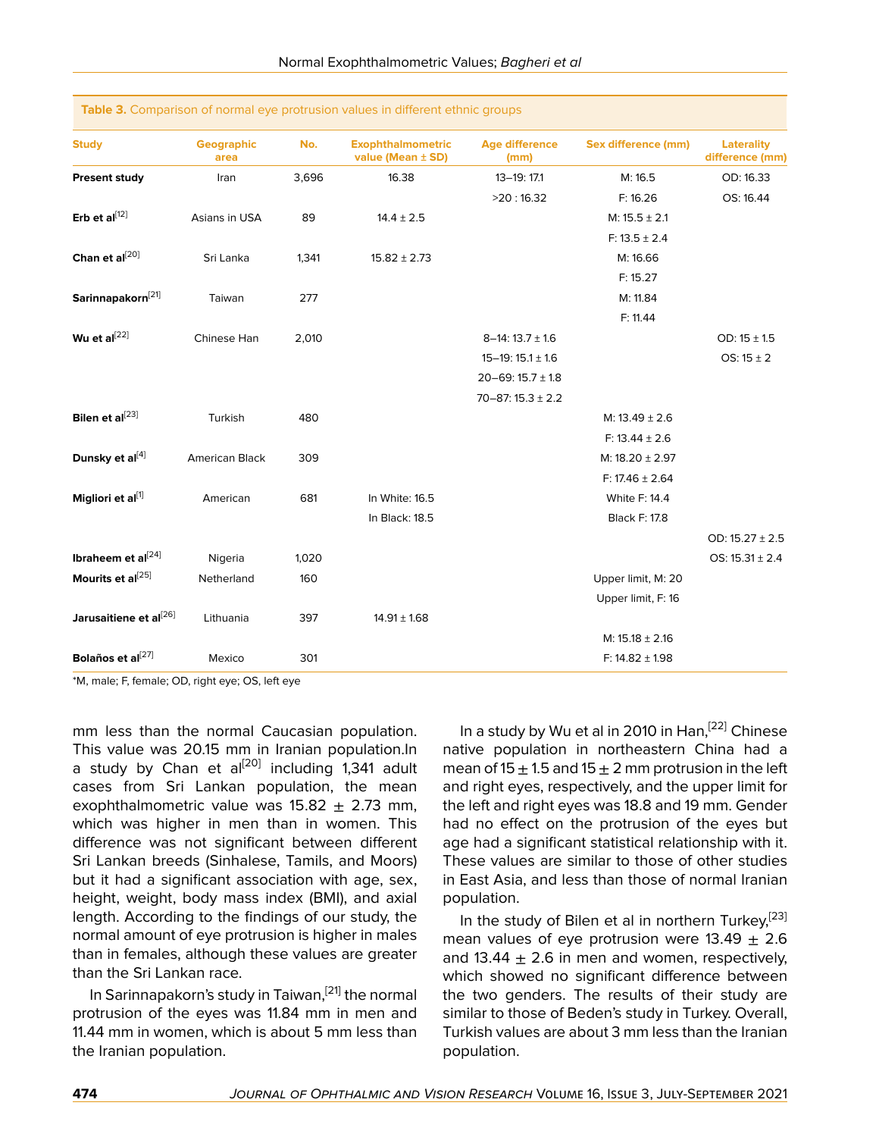| <b>Study</b>                       | Geographic<br>area    | No.   | <b>Exophthalmometric</b><br>value (Mean ± SD) | <b>Age difference</b><br>(mm) | <b>Sex difference (mm)</b> | <b>Laterality</b><br>difference (mm) |
|------------------------------------|-----------------------|-------|-----------------------------------------------|-------------------------------|----------------------------|--------------------------------------|
| <b>Present study</b>               | Iran                  | 3,696 | 16.38                                         | 13-19: 17.1                   | M: 16.5                    | OD: 16.33                            |
|                                    |                       |       |                                               | >20:16.32                     | F: 16.26                   | OS: 16.44                            |
| Erb et al $^{[12]}$                | Asians in USA         | 89    | $14.4 \pm 2.5$                                |                               | $M: 15.5 \pm 2.1$          |                                      |
|                                    |                       |       |                                               |                               | $F: 13.5 \pm 2.4$          |                                      |
| Chan et al[20]                     | Sri Lanka             | 1,341 | $15.82 \pm 2.73$                              |                               | M: 16.66                   |                                      |
|                                    |                       |       |                                               |                               | F: 15.27                   |                                      |
| Sarinnapakorn <sup>[21]</sup>      | Taiwan                | 277   |                                               |                               | M: 11.84                   |                                      |
|                                    |                       |       |                                               |                               | F: 11.44                   |                                      |
| Wu et al $^{[22]}$                 | Chinese Han           | 2,010 |                                               | $8-14$ : 13.7 $\pm$ 1.6       |                            | OD: $15 \pm 1.5$                     |
|                                    |                       |       |                                               | $15-19:15.1 \pm 1.6$          |                            | OS: $15 \pm 2$                       |
|                                    |                       |       |                                               | 20-69: 15.7 $\pm$ 1.8         |                            |                                      |
|                                    |                       |       |                                               | $70 - 87:15.3 \pm 2.2$        |                            |                                      |
| Bilen et al[23]                    | Turkish               | 480   |                                               |                               | M: $13.49 \pm 2.6$         |                                      |
|                                    |                       |       |                                               |                               | $F: 13.44 \pm 2.6$         |                                      |
| Dunsky et al[4]                    | <b>American Black</b> | 309   |                                               |                               | M: 18.20 ± 2.97            |                                      |
|                                    |                       |       |                                               |                               | F: 17.46 $\pm$ 2.64        |                                      |
| Migliori et al[1]                  | American              | 681   | In White: 16.5                                |                               | White F: 14.4              |                                      |
|                                    |                       |       | In Black: 18.5                                |                               | <b>Black F: 17.8</b>       |                                      |
|                                    |                       |       |                                               |                               |                            | OD: $15.27 \pm 2.5$                  |
| Ibraheem et al $^{[24]}$           | Nigeria               | 1,020 |                                               |                               |                            | OS: $15.31 \pm 2.4$                  |
| Mourits et al[25]                  | Netherland            | 160   |                                               |                               | Upper limit, M: 20         |                                      |
|                                    |                       |       |                                               |                               | Upper limit, F: 16         |                                      |
| Jarusaitiene et al <sup>[26]</sup> | Lithuania             | 397   | $14.91 \pm 1.68$                              |                               |                            |                                      |
|                                    |                       |       |                                               |                               | $M: 15.18 \pm 2.16$        |                                      |
| Bolaños et al[27]                  | Mexico                | 301   |                                               |                               | F: $14.82 \pm 1.98$        |                                      |

#### **Table 3.** Comparison of normal eye protrusion values in different ethnic groups

\*M, male; F, female; OD, right eye; OS, left eye

mm less than the normal Caucasian population. This value was 20.15 mm in Iranian population.In a study by Chan et al<sup>[[20\]](#page-7-8)</sup> including 1,341 adult cases from Sri Lankan population, the mean exophthalmometric value was  $15.82 \pm 2.73$  mm, which was higher in men than in women. This difference was not significant between different Sri Lankan breeds (Sinhalese, Tamils, and Moors) but it had a significant association with age, sex, height, weight, body mass index (BMI), and axial length. According to the findings of our study, the normal amount of eye protrusion is higher in males than in females, although these values are greater than the Sri Lankan race.

In Sarinnapakorn's study in Taiwan,<sup>[\[21\]](#page-7-9)</sup> the normal protrusion of the eyes was 11.84 mm in men and 11.44 mm in women, which is about 5 mm less than the Iranian population.

In a study by Wu et al in 2010 in Han,  $[22]$  $[22]$  Chinese native population in northeastern China had a mean of 15  $\pm$  1.5 and 15  $\pm$  2 mm protrusion in the left and right eyes, respectively, and the upper limit for the left and right eyes was 18.8 and 19 mm. Gender had no effect on the protrusion of the eyes but age had a significant statistical relationship with it. These values are similar to those of other studies in East Asia, and less than those of normal Iranian population.

In the study of Bilen et al in northern Turkey,<sup>[[23](#page-7-11)]</sup> mean values of eye protrusion were  $13.49 \pm 2.6$ and 13.44  $\pm$  2.6 in men and women, respectively, which showed no significant difference between the two genders. The results of their study are similar to those of Beden's study in Turkey. Overall, Turkish values are about 3 mm less than the Iranian population.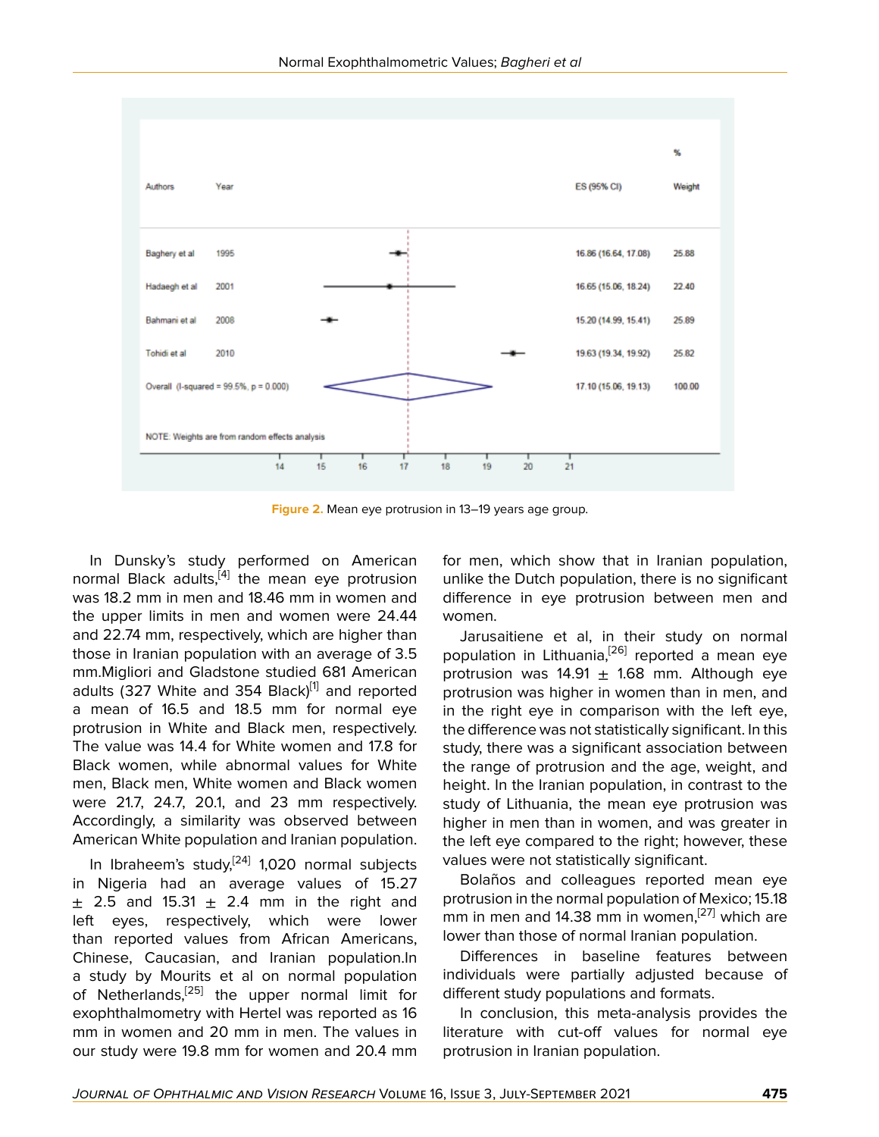

**Figure 2.** Mean eye protrusion in 13–19 years age group.

In Dunsky's study performed on American normal Black adults,<sup>[[4](#page-6-3)]</sup> the mean eye protrusion was 18.2 mm in men and 18.46 mm in women and the upper limits in men and women were 24.44 and 22.74 mm, respectively, which are higher than those in Iranian population with an average of 3.5 mm.Migliori and Gladstone studied 681 American adults (327 White and 354 Black)<sup>[[1](#page-6-0)]</sup> and reported a mean of 16.5 and 18.5 mm for normal eye protrusion in White and Black men, respectively. The value was 14.4 for White women and 17.8 for Black women, while abnormal values for White men, Black men, White women and Black women were 21.7, 24.7, 20.1, and 23 mm respectively. Accordingly, a similarity was observed between American White population and Iranian population.

In Ibraheem's study,<sup>[[24\]](#page-7-12)</sup> 1,020 normal subjects in Nigeria had an average values of 15.27  $\pm$  2.5 and 15.31  $\pm$  2.4 mm in the right and left eyes, respectively, which were lower than reported values from African Americans, Chinese, Caucasian, and Iranian population.In a study by Mourits et al on normal population of Netherlands,<sup>[[25\]](#page-7-13)</sup> the upper normal limit for exophthalmometry with Hertel was reported as 16 mm in women and 20 mm in men. The values in our study were 19.8 mm for women and 20.4 mm

for men, which show that in Iranian population, unlike the Dutch population, there is no significant difference in eye protrusion between men and women.

Jarusaitiene et al, in their study on normal population in Lithuania,<sup>[[26\]](#page-7-14)</sup> reported a mean eye protrusion was  $14.91 \pm 1.68$  mm. Although eye protrusion was higher in women than in men, and in the right eye in comparison with the left eye, the difference was not statistically significant. In this study, there was a significant association between the range of protrusion and the age, weight, and height. In the Iranian population, in contrast to the study of Lithuania, the mean eye protrusion was higher in men than in women, and was greater in the left eye compared to the right; however, these values were not statistically significant.

Bolaños and colleagues reported mean eye protrusion in the normal population of Mexico; 15.18 mm in men and 14.38 mm in women,<sup>[[27](#page-7-15)]</sup> which are lower than those of normal Iranian population.

Differences in baseline features between individuals were partially adjusted because of different study populations and formats.

In conclusion, this meta-analysis provides the literature with cut-off values for normal eye protrusion in Iranian population.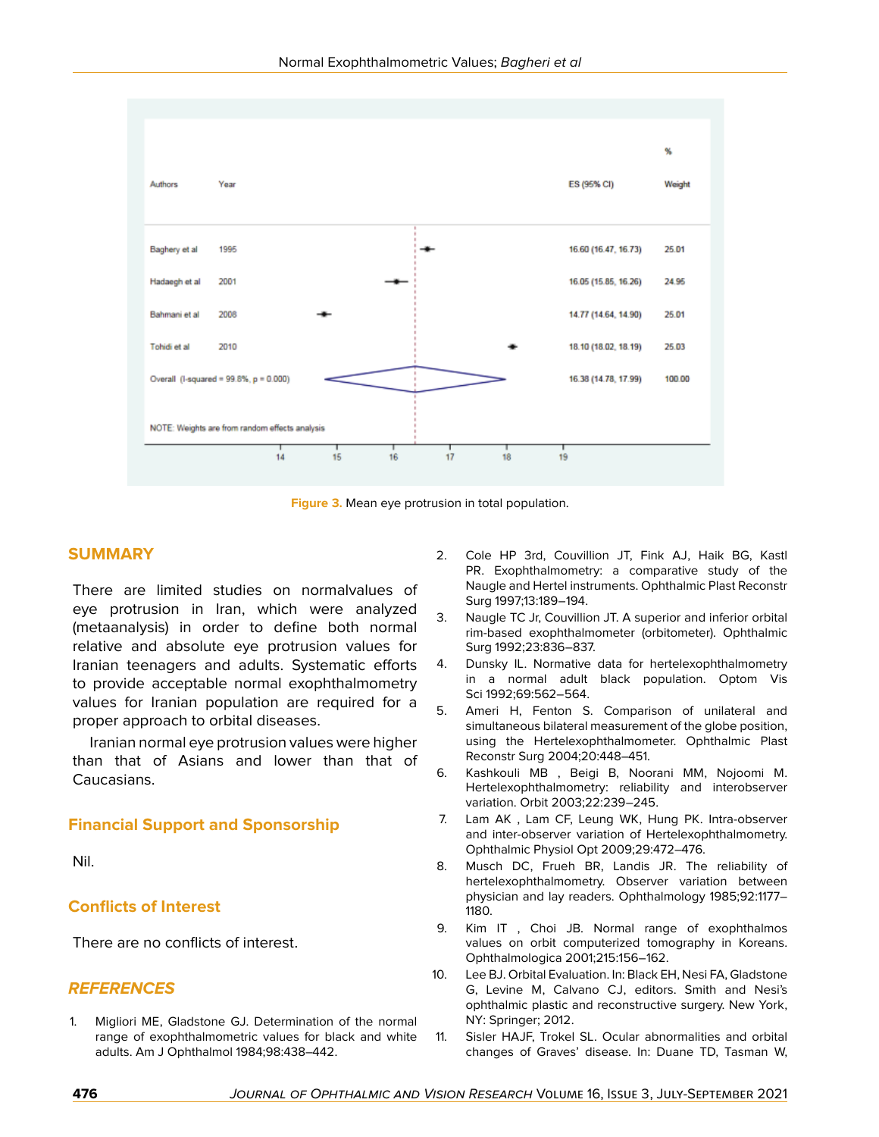

**Figure 3.** Mean eye protrusion in total population.

## **SUMMARY**

There are limited studies on normalvalues of eye protrusion in Iran, which were analyzed (metaanalysis) in order to define both normal relative and absolute eye protrusion values for Iranian teenagers and adults. Systematic efforts to provide acceptable normal exophthalmometry values for Iranian population are required for a proper approach to orbital diseases.

Iranian normal eye protrusion values were higher than that of Asians and lower than that of Caucasians.

# **Financial Support and Sponsorship**

Nil.

### **Conflicts of Interest**

There are no conflicts of interest.

### *REFERENCES*

<span id="page-6-0"></span>1. Migliori ME, Gladstone GJ. Determination of the normal range of exophthalmometric values for black and white adults. Am J Ophthalmol 1984;98:438–442.

- <span id="page-6-1"></span>2. Cole HP 3rd, Couvillion JT, Fink AJ, Haik BG, Kastl PR. Exophthalmometry: a comparative study of the Naugle and Hertel instruments. Ophthalmic Plast Reconstr Surg 1997;13:189–194.
- <span id="page-6-2"></span>3. Naugle TC Jr, Couvillion JT. A superior and inferior orbital rim-based exophthalmometer (orbitometer). Ophthalmic Surg 1992;23:836–837.
- <span id="page-6-3"></span>4. Dunsky IL. Normative data for hertelexophthalmometry in a normal adult black population. Optom Vis Sci 1992;69:562–564.
- <span id="page-6-4"></span>5. Ameri H, Fenton S. Comparison of unilateral and simultaneous bilateral measurement of the globe position, using the Hertelexophthalmometer. Ophthalmic Plast Reconstr Surg 2004;20:448–451.
- <span id="page-6-5"></span>6. Kashkouli MB , Beigi B, Noorani MM, Nojoomi M. Hertelexophthalmometry: reliability and interobserver variation. Orbit 2003;22:239–245.
- 7. Lam AK , Lam CF, Leung WK, Hung PK. Intra-observer and inter-observer variation of Hertelexophthalmometry. Ophthalmic Physiol Opt 2009;29:472–476.
- <span id="page-6-6"></span>8. Musch DC, Frueh BR, Landis JR. The reliability of hertelexophthalmometry. Observer variation between physician and lay readers. Ophthalmology 1985;92:1177– 1180.
- <span id="page-6-7"></span>9. Kim IT , Choi JB. Normal range of exophthalmos values on orbit computerized tomography in Koreans. Ophthalmologica 2001;215:156–162.
- <span id="page-6-8"></span>10. Lee BJ. Orbital Evaluation. In: Black EH, Nesi FA, Gladstone G, Levine M, Calvano CJ, editors. Smith and Nesi's ophthalmic plastic and reconstructive surgery. New York, NY: Springer; 2012.
- 11. Sisler HAJF, Trokel SL. Ocular abnormalities and orbital changes of Graves' disease. In: Duane TD, Tasman W,